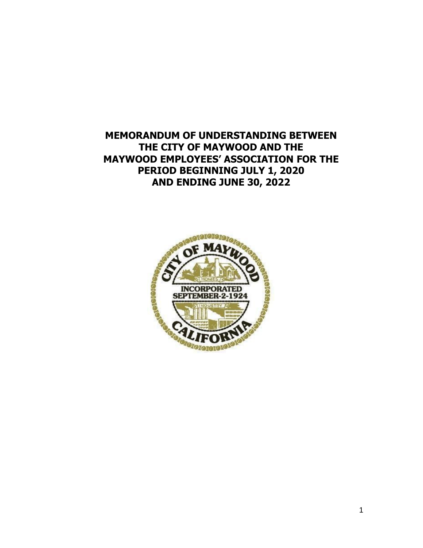**MEMORANDUM OF UNDERSTANDING BETWEEN THE CITY OF MAYWOOD AND THE MAYWOOD EMPLOYEES' ASSOCIATION FOR THE PERIOD BEGINNING JULY 1, 2020 AND ENDING JUNE 30, 2022**

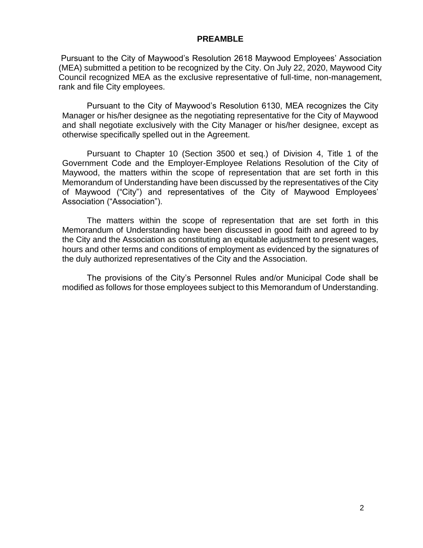#### **PREAMBLE**

Pursuant to the City of Maywood's Resolution 2618 Maywood Employees' Association (MEA) submitted a petition to be recognized by the City. On July 22, 2020, Maywood City Council recognized MEA as the exclusive representative of full-time, non-management, rank and file City employees.

Pursuant to the City of Maywood's Resolution 6130, MEA recognizes the City Manager or his/her designee as the negotiating representative for the City of Maywood and shall negotiate exclusively with the City Manager or his/her designee, except as otherwise specifically spelled out in the Agreement.

Pursuant to Chapter 10 (Section 3500 et seq.) of Division 4, Title 1 of the Government Code and the Employer-Employee Relations Resolution of the City of Maywood, the matters within the scope of representation that are set forth in this Memorandum of Understanding have been discussed by the representatives of the City of Maywood ("City") and representatives of the City of Maywood Employees' Association ("Association").

The matters within the scope of representation that are set forth in this Memorandum of Understanding have been discussed in good faith and agreed to by the City and the Association as constituting an equitable adjustment to present wages, hours and other terms and conditions of employment as evidenced by the signatures of the duly authorized representatives of the City and the Association.

The provisions of the City's Personnel Rules and/or Municipal Code shall be modified as follows for those employees subject to this Memorandum of Understanding.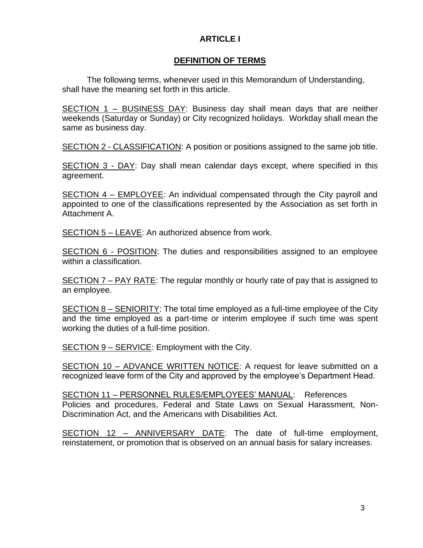## **ARTICLE I**

## **DEFINITION OF TERMS**

The following terms, whenever used in this Memorandum of Understanding, shall have the meaning set forth in this article.

SECTION 1 – BUSINESS DAY: Business day shall mean days that are neither weekends (Saturday or Sunday) or City recognized holidays. Workday shall mean the same as business day.

SECTION 2 - CLASSIFICATION: A position or positions assigned to the same job title.

SECTION 3 - DAY: Day shall mean calendar days except, where specified in this agreement.

SECTION 4 – EMPLOYEE: An individual compensated through the City payroll and appointed to one of the classifications represented by the Association as set forth in Attachment A.

SECTION 5 – LEAVE: An authorized absence from work.

SECTION 6 - POSITION: The duties and responsibilities assigned to an employee within a classification.

SECTION 7 – PAY RATE: The regular monthly or hourly rate of pay that is assigned to an employee.

SECTION 8 – SENIORITY: The total time employed as a full-time employee of the City and the time employed as a part-time or interim employee if such time was spent working the duties of a full-time position.

SECTION 9 – SERVICE: Employment with the City.

SECTION 10 – ADVANCE WRITTEN NOTICE: A request for leave submitted on a recognized leave form of the City and approved by the employee's Department Head.

SECTION 11 – PERSONNEL RULES/EMPLOYEES' MANUAL: References Policies and procedures, Federal and State Laws on Sexual Harassment, Non-Discrimination Act, and the Americans with Disabilities Act.

SECTION 12 – ANNIVERSARY DATE: The date of full-time employment, reinstatement, or promotion that is observed on an annual basis for salary increases.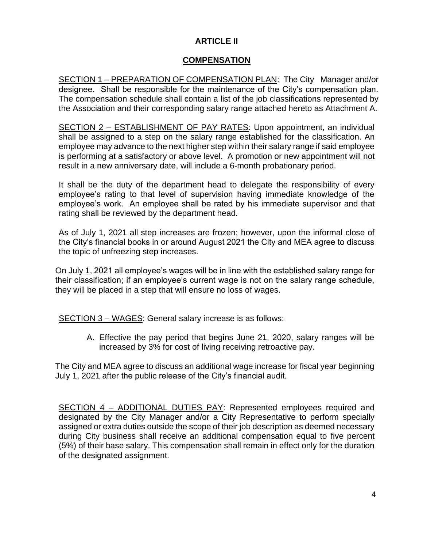# **ARTICLE II**

# **COMPENSATION**

SECTION 1 – PREPARATION OF COMPENSATION PLAN: The City Manager and/or designee. Shall be responsible for the maintenance of the City's compensation plan. The compensation schedule shall contain a list of the job classifications represented by the Association and their corresponding salary range attached hereto as Attachment A.

SECTION 2 – ESTABLISHMENT OF PAY RATES: Upon appointment, an individual shall be assigned to a step on the salary range established for the classification. An employee may advance to the next higher step within their salary range if said employee is performing at a satisfactory or above level. A promotion or new appointment will not result in a new anniversary date, will include a 6-month probationary period.

It shall be the duty of the department head to delegate the responsibility of every employee's rating to that level of supervision having immediate knowledge of the employee's work. An employee shall be rated by his immediate supervisor and that rating shall be reviewed by the department head.

As of July 1, 2021 all step increases are frozen; however, upon the informal close of the City's financial books in or around August 2021 the City and MEA agree to discuss the topic of unfreezing step increases.

On July 1, 2021 all employee's wages will be in line with the established salary range for their classification; if an employee's current wage is not on the salary range schedule, they will be placed in a step that will ensure no loss of wages.

SECTION 3 – WAGES: General salary increase is as follows:

A. Effective the pay period that begins June 21, 2020, salary ranges will be increased by 3% for cost of living receiving retroactive pay.

The City and MEA agree to discuss an additional wage increase for fiscal year beginning July 1, 2021 after the public release of the City's financial audit.

SECTION 4 – ADDITIONAL DUTIES PAY: Represented employees required and designated by the City Manager and/or a City Representative to perform specially assigned or extra duties outside the scope of their job description as deemed necessary during City business shall receive an additional compensation equal to five percent (5%) of their base salary. This compensation shall remain in effect only for the duration of the designated assignment.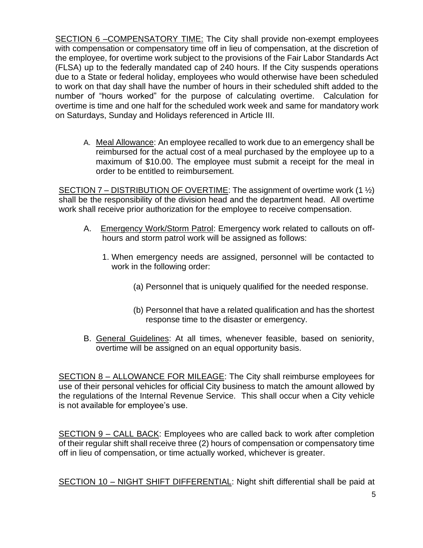SECTION 6 –COMPENSATORY TIME: The City shall provide non-exempt employees with compensation or compensatory time off in lieu of compensation, at the discretion of the employee, for overtime work subject to the provisions of the Fair Labor Standards Act (FLSA) up to the federally mandated cap of 240 hours. If the City suspends operations due to a State or federal holiday, employees who would otherwise have been scheduled to work on that day shall have the number of hours in their scheduled shift added to the number of "hours worked" for the purpose of calculating overtime. Calculation for overtime is time and one half for the scheduled work week and same for mandatory work on Saturdays, Sunday and Holidays referenced in Article III.

A. Meal Allowance: An employee recalled to work due to an emergency shall be reimbursed for the actual cost of a meal purchased by the employee up to a maximum of \$10.00. The employee must submit a receipt for the meal in order to be entitled to reimbursement.

SECTION 7 – DISTRIBUTION OF OVERTIME: The assignment of overtime work (1  $\frac{1}{2}$ ) shall be the responsibility of the division head and the department head. All overtime work shall receive prior authorization for the employee to receive compensation.

- A. Emergency Work/Storm Patrol: Emergency work related to callouts on offhours and storm patrol work will be assigned as follows:
	- 1. When emergency needs are assigned, personnel will be contacted to work in the following order:
		- (a) Personnel that is uniquely qualified for the needed response.
		- (b) Personnel that have a related qualification and has the shortest response time to the disaster or emergency.
- B. General Guidelines: At all times, whenever feasible, based on seniority, overtime will be assigned on an equal opportunity basis.

SECTION 8 – ALLOWANCE FOR MILEAGE: The City shall reimburse employees for use of their personal vehicles for official City business to match the amount allowed by the regulations of the Internal Revenue Service. This shall occur when a City vehicle is not available for employee's use.

SECTION 9 – CALL BACK: Employees who are called back to work after completion of their regular shift shall receive three (2) hours of compensation or compensatory time off in lieu of compensation, or time actually worked, whichever is greater.

SECTION 10 – NIGHT SHIFT DIFFERENTIAL: Night shift differential shall be paid at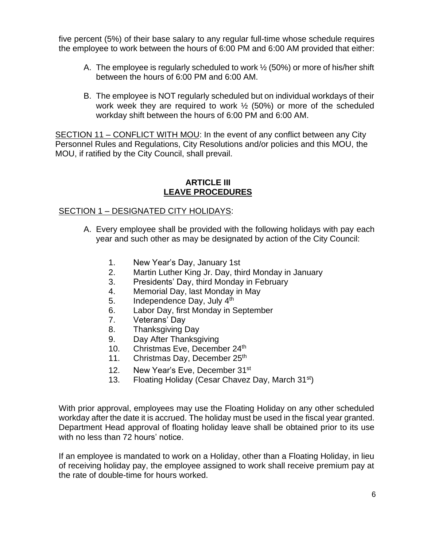five percent (5%) of their base salary to any regular full-time whose schedule requires the employee to work between the hours of 6:00 PM and 6:00 AM provided that either:

- A. The employee is regularly scheduled to work  $\frac{1}{2}$  (50%) or more of his/her shift between the hours of 6:00 PM and 6:00 AM.
- B. The employee is NOT regularly scheduled but on individual workdays of their work week they are required to work ½ (50%) or more of the scheduled workday shift between the hours of 6:00 PM and 6:00 AM.

SECTION 11 – CONFLICT WITH MOU: In the event of any conflict between any City Personnel Rules and Regulations, City Resolutions and/or policies and this MOU, the MOU, if ratified by the City Council, shall prevail.

#### **ARTICLE III LEAVE PROCEDURES**

# SECTION 1 – DESIGNATED CITY HOLIDAYS:

- A. Every employee shall be provided with the following holidays with pay each year and such other as may be designated by action of the City Council:
	- 1. New Year's Day, January 1st
	- 2. Martin Luther King Jr. Day, third Monday in January
	- 3. Presidents' Day, third Monday in February
	- 4. Memorial Day, last Monday in May
	- 5. Independence Day, July 4<sup>th</sup>
	- 6. Labor Day, first Monday in September
	- 7. Veterans' Day
	- 8. Thanksgiving Day
	- 9. Day After Thanksgiving
	- 10. Christmas Eve, December 24<sup>th</sup>
	- 11. Christmas Day, December 25<sup>th</sup>
	- 12. New Year's Eve, December 31<sup>st</sup>
	- 13. Floating Holiday (Cesar Chavez Day, March 31<sup>st</sup>)

With prior approval, employees may use the Floating Holiday on any other scheduled workday after the date it is accrued. The holiday must be used in the fiscal year granted. Department Head approval of floating holiday leave shall be obtained prior to its use with no less than 72 hours' notice.

If an employee is mandated to work on a Holiday, other than a Floating Holiday, in lieu of receiving holiday pay, the employee assigned to work shall receive premium pay at the rate of double-time for hours worked.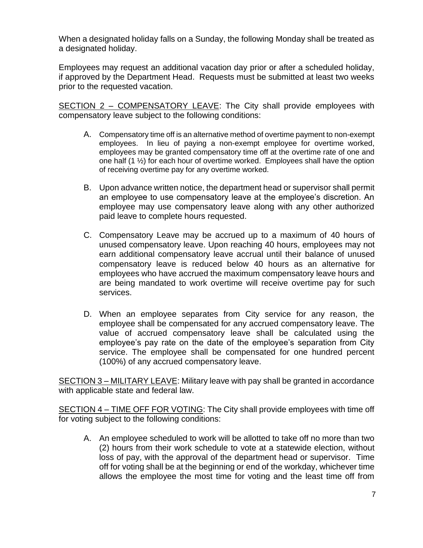When a designated holiday falls on a Sunday, the following Monday shall be treated as a designated holiday.

Employees may request an additional vacation day prior or after a scheduled holiday, if approved by the Department Head. Requests must be submitted at least two weeks prior to the requested vacation.

SECTION 2 - COMPENSATORY LEAVE: The City shall provide employees with compensatory leave subject to the following conditions:

- A. Compensatory time off is an alternative method of overtime payment to non-exempt employees. In lieu of paying a non-exempt employee for overtime worked, employees may be granted compensatory time off at the overtime rate of one and one half  $(1 \frac{1}{2})$  for each hour of overtime worked. Employees shall have the option of receiving overtime pay for any overtime worked.
- B. Upon advance written notice, the department head or supervisor shall permit an employee to use compensatory leave at the employee's discretion. An employee may use compensatory leave along with any other authorized paid leave to complete hours requested.
- C. Compensatory Leave may be accrued up to a maximum of 40 hours of unused compensatory leave. Upon reaching 40 hours, employees may not earn additional compensatory leave accrual until their balance of unused compensatory leave is reduced below 40 hours as an alternative for employees who have accrued the maximum compensatory leave hours and are being mandated to work overtime will receive overtime pay for such services.
- D. When an employee separates from City service for any reason, the employee shall be compensated for any accrued compensatory leave. The value of accrued compensatory leave shall be calculated using the employee's pay rate on the date of the employee's separation from City service. The employee shall be compensated for one hundred percent (100%) of any accrued compensatory leave.

SECTION 3 – MILITARY LEAVE: Military leave with pay shall be granted in accordance with applicable state and federal law.

SECTION 4 - TIME OFF FOR VOTING: The City shall provide employees with time off for voting subject to the following conditions:

A. An employee scheduled to work will be allotted to take off no more than two (2) hours from their work schedule to vote at a statewide election, without loss of pay, with the approval of the department head or supervisor. Time off for voting shall be at the beginning or end of the workday, whichever time allows the employee the most time for voting and the least time off from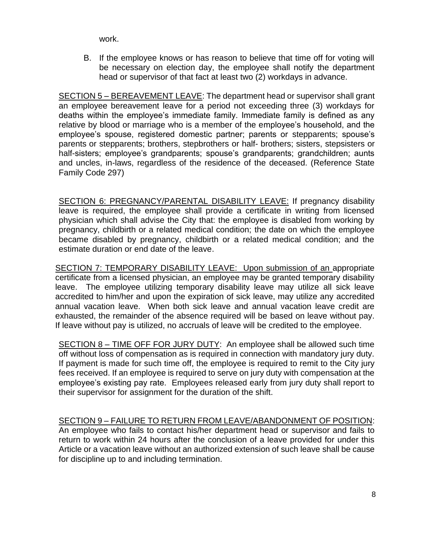work.

B. If the employee knows or has reason to believe that time off for voting will be necessary on election day, the employee shall notify the department head or supervisor of that fact at least two (2) workdays in advance.

SECTION 5 – BEREAVEMENT LEAVE: The department head or supervisor shall grant an employee bereavement leave for a period not exceeding three (3) workdays for deaths within the employee's immediate family. Immediate family is defined as any relative by blood or marriage who is a member of the employee's household, and the employee's spouse, registered domestic partner; parents or stepparents; spouse's parents or stepparents; brothers, stepbrothers or half- brothers; sisters, stepsisters or half-sisters; employee's grandparents; spouse's grandparents; grandchildren; aunts and uncles, in-laws, regardless of the residence of the deceased. (Reference State Family Code 297)

SECTION 6: PREGNANCY/PARENTAL DISABILITY LEAVE: If pregnancy disability leave is required, the employee shall provide a certificate in writing from licensed physician which shall advise the City that: the employee is disabled from working by pregnancy, childbirth or a related medical condition; the date on which the employee became disabled by pregnancy, childbirth or a related medical condition; and the estimate duration or end date of the leave.

SECTION 7: TEMPORARY DISABILITY LEAVE: Upon submission of an appropriate certificate from a licensed physician, an employee may be granted temporary disability leave. The employee utilizing temporary disability leave may utilize all sick leave accredited to him/her and upon the expiration of sick leave, may utilize any accredited annual vacation leave. When both sick leave and annual vacation leave credit are exhausted, the remainder of the absence required will be based on leave without pay. If leave without pay is utilized, no accruals of leave will be credited to the employee.

SECTION 8 – TIME OFF FOR JURY DUTY: An employee shall be allowed such time off without loss of compensation as is required in connection with mandatory jury duty. If payment is made for such time off, the employee is required to remit to the City jury fees received. If an employee is required to serve on jury duty with compensation at the employee's existing pay rate. Employees released early from jury duty shall report to their supervisor for assignment for the duration of the shift.

## SECTION 9 – FAILURE TO RETURN FROM LEAVE/ABANDONMENT OF POSITION:

An employee who fails to contact his/her department head or supervisor and fails to return to work within 24 hours after the conclusion of a leave provided for under this Article or a vacation leave without an authorized extension of such leave shall be cause for discipline up to and including termination.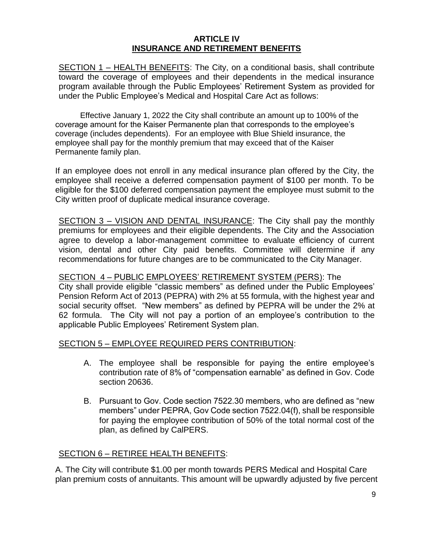## **ARTICLE IV INSURANCE AND RETIREMENT BENEFITS**

SECTION 1 - HEALTH BENEFITS: The City, on a conditional basis, shall contribute toward the coverage of employees and their dependents in the medical insurance program available through the Public Employees' Retirement System as provided for under the Public Employee's Medical and Hospital Care Act as follows:

Effective January 1, 2022 the City shall contribute an amount up to 100% of the coverage amount for the Kaiser Permanente plan that corresponds to the employee's coverage (includes dependents). For an employee with Blue Shield insurance, the employee shall pay for the monthly premium that may exceed that of the Kaiser Permanente family plan.

If an employee does not enroll in any medical insurance plan offered by the City, the employee shall receive a deferred compensation payment of \$100 per month. To be eligible for the \$100 deferred compensation payment the employee must submit to the City written proof of duplicate medical insurance coverage.

SECTION 3 - VISION AND DENTAL INSURANCE: The City shall pay the monthly premiums for employees and their eligible dependents. The City and the Association agree to develop a labor-management committee to evaluate efficiency of current vision, dental and other City paid benefits. Committee will determine if any recommendations for future changes are to be communicated to the City Manager.

#### SECTION 4 – PUBLIC EMPLOYEES' RETIREMENT SYSTEM (PERS): The

City shall provide eligible "classic members" as defined under the Public Employees' Pension Reform Act of 2013 (PEPRA) with 2% at 55 formula, with the highest year and social security offset. "New members" as defined by PEPRA will be under the 2% at 62 formula. The City will not pay a portion of an employee's contribution to the applicable Public Employees' Retirement System plan.

#### SECTION 5 – EMPLOYEE REQUIRED PERS CONTRIBUTION:

- A. The employee shall be responsible for paying the entire employee's contribution rate of 8% of "compensation earnable" as defined in Gov. Code section 20636.
- B. Pursuant to Gov. Code section 7522.30 members, who are defined as "new members" under PEPRA, Gov Code section 7522.04(f), shall be responsible for paying the employee contribution of 50% of the total normal cost of the plan, as defined by CalPERS.

## SECTION 6 – RETIREE HEALTH BENEFITS:

A. The City will contribute \$1.00 per month towards PERS Medical and Hospital Care plan premium costs of annuitants. This amount will be upwardly adjusted by five percent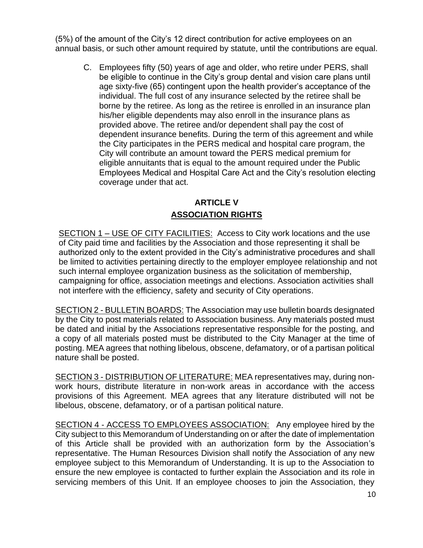(5%) of the amount of the City's 12 direct contribution for active employees on an annual basis, or such other amount required by statute, until the contributions are equal.

C. Employees fifty (50) years of age and older, who retire under PERS, shall be eligible to continue in the City's group dental and vision care plans until age sixty-five (65) contingent upon the health provider's acceptance of the individual. The full cost of any insurance selected by the retiree shall be borne by the retiree. As long as the retiree is enrolled in an insurance plan his/her eligible dependents may also enroll in the insurance plans as provided above. The retiree and/or dependent shall pay the cost of dependent insurance benefits. During the term of this agreement and while the City participates in the PERS medical and hospital care program, the City will contribute an amount toward the PERS medical premium for eligible annuitants that is equal to the amount required under the Public Employees Medical and Hospital Care Act and the City's resolution electing coverage under that act.

# **ARTICLE V ASSOCIATION RIGHTS**

SECTION 1 – USE OF CITY FACILITIES: Access to City work locations and the use of City paid time and facilities by the Association and those representing it shall be authorized only to the extent provided in the City's administrative procedures and shall be limited to activities pertaining directly to the employer employee relationship and not such internal employee organization business as the solicitation of membership, campaigning for office, association meetings and elections. Association activities shall not interfere with the efficiency, safety and security of City operations.

SECTION 2 - BULLETIN BOARDS: The Association may use bulletin boards designated by the City to post materials related to Association business. Any materials posted must be dated and initial by the Associations representative responsible for the posting, and a copy of all materials posted must be distributed to the City Manager at the time of posting. MEA agrees that nothing libelous, obscene, defamatory, or of a partisan political nature shall be posted.

SECTION 3 - DISTRIBUTION OF LITERATURE: MEA representatives may, during nonwork hours, distribute literature in non-work areas in accordance with the access provisions of this Agreement. MEA agrees that any literature distributed will not be libelous, obscene, defamatory, or of a partisan political nature.

SECTION 4 - ACCESS TO EMPLOYEES ASSOCIATION: Any employee hired by the City subject to this Memorandum of Understanding on or after the date of implementation of this Article shall be provided with an authorization form by the Association's representative. The Human Resources Division shall notify the Association of any new employee subject to this Memorandum of Understanding. It is up to the Association to ensure the new employee is contacted to further explain the Association and its role in servicing members of this Unit. If an employee chooses to join the Association, they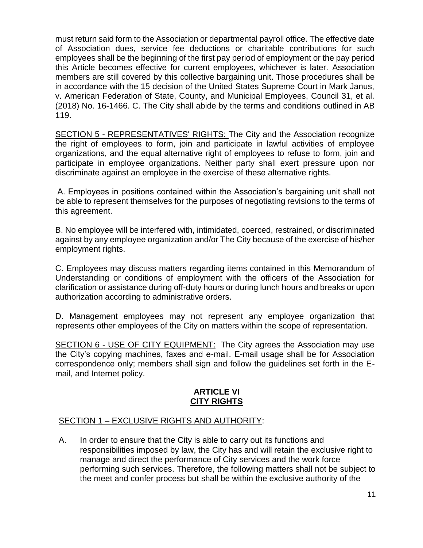must return said form to the Association or departmental payroll office. The effective date of Association dues, service fee deductions or charitable contributions for such employees shall be the beginning of the first pay period of employment or the pay period this Article becomes effective for current employees, whichever is later. Association members are still covered by this collective bargaining unit. Those procedures shall be in accordance with the 15 decision of the United States Supreme Court in Mark Janus, v. American Federation of State, County, and Municipal Employees, Council 31, et al. (2018) No. 16-1466. C. The City shall abide by the terms and conditions outlined in AB 119.

SECTION 5 - REPRESENTATIVES' RIGHTS: The City and the Association recognize the right of employees to form, join and participate in lawful activities of employee organizations, and the equal alternative right of employees to refuse to form, join and participate in employee organizations. Neither party shall exert pressure upon nor discriminate against an employee in the exercise of these alternative rights.

A. Employees in positions contained within the Association's bargaining unit shall not be able to represent themselves for the purposes of negotiating revisions to the terms of this agreement.

B. No employee will be interfered with, intimidated, coerced, restrained, or discriminated against by any employee organization and/or The City because of the exercise of his/her employment rights.

C. Employees may discuss matters regarding items contained in this Memorandum of Understanding or conditions of employment with the officers of the Association for clarification or assistance during off-duty hours or during lunch hours and breaks or upon authorization according to administrative orders.

D. Management employees may not represent any employee organization that represents other employees of the City on matters within the scope of representation.

SECTION 6 - USE OF CITY EQUIPMENT: The City agrees the Association may use the City's copying machines, faxes and e-mail. E-mail usage shall be for Association correspondence only; members shall sign and follow the guidelines set forth in the Email, and Internet policy.

## **ARTICLE VI CITY RIGHTS**

## SECTION 1 – EXCLUSIVE RIGHTS AND AUTHORITY:

A. In order to ensure that the City is able to carry out its functions and responsibilities imposed by law, the City has and will retain the exclusive right to manage and direct the performance of City services and the work force performing such services. Therefore, the following matters shall not be subject to the meet and confer process but shall be within the exclusive authority of the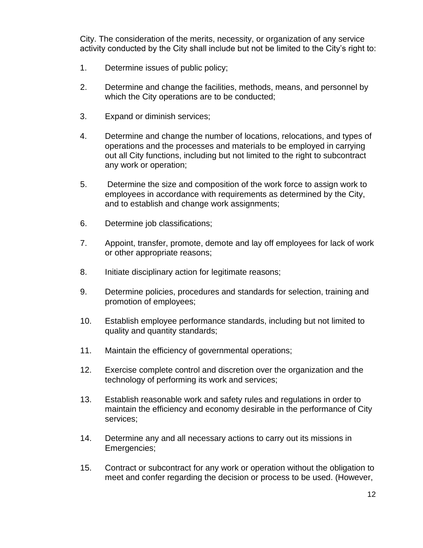City. The consideration of the merits, necessity, or organization of any service activity conducted by the City shall include but not be limited to the City's right to:

- 1. Determine issues of public policy;
- 2. Determine and change the facilities, methods, means, and personnel by which the City operations are to be conducted;
- 3. Expand or diminish services;
- 4. Determine and change the number of locations, relocations, and types of operations and the processes and materials to be employed in carrying out all City functions, including but not limited to the right to subcontract any work or operation;
- 5. Determine the size and composition of the work force to assign work to employees in accordance with requirements as determined by the City, and to establish and change work assignments;
- 6. Determine job classifications;
- 7. Appoint, transfer, promote, demote and lay off employees for lack of work or other appropriate reasons;
- 8. Initiate disciplinary action for legitimate reasons;
- 9. Determine policies, procedures and standards for selection, training and promotion of employees;
- 10. Establish employee performance standards, including but not limited to quality and quantity standards;
- 11. Maintain the efficiency of governmental operations;
- 12. Exercise complete control and discretion over the organization and the technology of performing its work and services;
- 13. Establish reasonable work and safety rules and regulations in order to maintain the efficiency and economy desirable in the performance of City services;
- 14. Determine any and all necessary actions to carry out its missions in Emergencies;
- 15. Contract or subcontract for any work or operation without the obligation to meet and confer regarding the decision or process to be used. (However,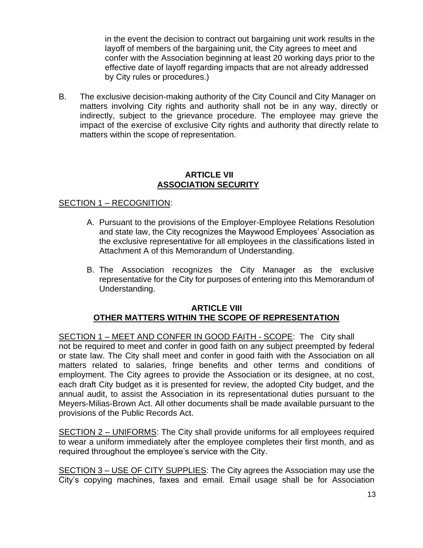in the event the decision to contract out bargaining unit work results in the layoff of members of the bargaining unit, the City agrees to meet and confer with the Association beginning at least 20 working days prior to the effective date of layoff regarding impacts that are not already addressed by City rules or procedures.)

B. The exclusive decision-making authority of the City Council and City Manager on matters involving City rights and authority shall not be in any way, directly or indirectly, subject to the grievance procedure. The employee may grieve the impact of the exercise of exclusive City rights and authority that directly relate to matters within the scope of representation.

#### **ARTICLE VII ASSOCIATION SECURITY**

## SECTION 1 – RECOGNITION:

- A. Pursuant to the provisions of the Employer-Employee Relations Resolution and state law, the City recognizes the Maywood Employees' Association as the exclusive representative for all employees in the classifications listed in Attachment A of this Memorandum of Understanding.
- B. The Association recognizes the City Manager as the exclusive representative for the City for purposes of entering into this Memorandum of Understanding.

#### **ARTICLE VIII OTHER MATTERS WITHIN THE SCOPE OF REPRESENTATION**

SECTION 1 – MEET AND CONFER IN GOOD FAITH - SCOPE: The City shall not be required to meet and confer in good faith on any subject preempted by federal or state law. The City shall meet and confer in good faith with the Association on all matters related to salaries, fringe benefits and other terms and conditions of employment. The City agrees to provide the Association or its designee, at no cost, each draft City budget as it is presented for review, the adopted City budget, and the annual audit, to assist the Association in its representational duties pursuant to the Meyers-Milias-Brown Act. All other documents shall be made available pursuant to the provisions of the Public Records Act.

SECTION 2 – UNIFORMS: The City shall provide uniforms for all employees required to wear a uniform immediately after the employee completes their first month, and as required throughout the employee's service with the City.

SECTION 3 – USE OF CITY SUPPLIES: The City agrees the Association may use the City's copying machines, faxes and email. Email usage shall be for Association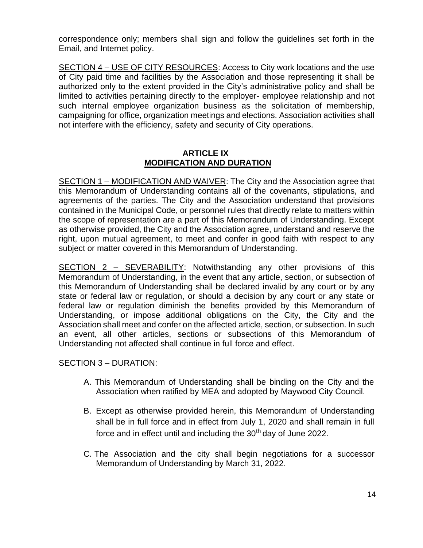correspondence only; members shall sign and follow the guidelines set forth in the Email, and Internet policy.

SECTION 4 – USE OF CITY RESOURCES: Access to City work locations and the use of City paid time and facilities by the Association and those representing it shall be authorized only to the extent provided in the City's administrative policy and shall be limited to activities pertaining directly to the employer- employee relationship and not such internal employee organization business as the solicitation of membership, campaigning for office, organization meetings and elections. Association activities shall not interfere with the efficiency, safety and security of City operations.

## **ARTICLE IX MODIFICATION AND DURATION**

SECTION 1 – MODIFICATION AND WAIVER: The City and the Association agree that this Memorandum of Understanding contains all of the covenants, stipulations, and agreements of the parties. The City and the Association understand that provisions contained in the Municipal Code, or personnel rules that directly relate to matters within the scope of representation are a part of this Memorandum of Understanding. Except as otherwise provided, the City and the Association agree, understand and reserve the right, upon mutual agreement, to meet and confer in good faith with respect to any subject or matter covered in this Memorandum of Understanding.

SECTION 2 – SEVERABILITY: Notwithstanding any other provisions of this Memorandum of Understanding, in the event that any article, section, or subsection of this Memorandum of Understanding shall be declared invalid by any court or by any state or federal law or regulation, or should a decision by any court or any state or federal law or regulation diminish the benefits provided by this Memorandum of Understanding, or impose additional obligations on the City, the City and the Association shall meet and confer on the affected article, section, or subsection. In such an event, all other articles, sections or subsections of this Memorandum of Understanding not affected shall continue in full force and effect.

## SECTION 3 – DURATION:

- A. This Memorandum of Understanding shall be binding on the City and the Association when ratified by MEA and adopted by Maywood City Council.
- B. Except as otherwise provided herein, this Memorandum of Understanding shall be in full force and in effect from July 1, 2020 and shall remain in full force and in effect until and including the 30<sup>th</sup> day of June 2022.
- C. The Association and the city shall begin negotiations for a successor Memorandum of Understanding by March 31, 2022.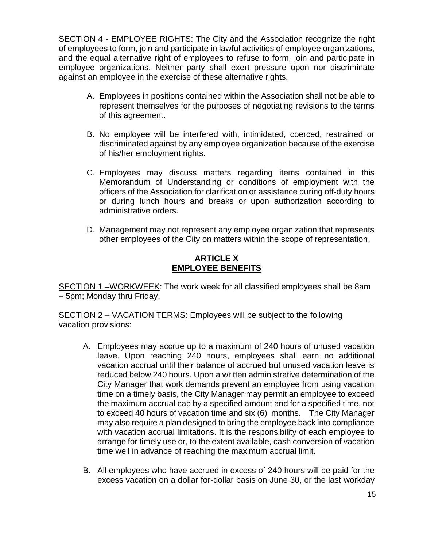SECTION 4 - EMPLOYEE RIGHTS: The City and the Association recognize the right of employees to form, join and participate in lawful activities of employee organizations, and the equal alternative right of employees to refuse to form, join and participate in employee organizations. Neither party shall exert pressure upon nor discriminate against an employee in the exercise of these alternative rights.

- A. Employees in positions contained within the Association shall not be able to represent themselves for the purposes of negotiating revisions to the terms of this agreement.
- B. No employee will be interfered with, intimidated, coerced, restrained or discriminated against by any employee organization because of the exercise of his/her employment rights.
- C. Employees may discuss matters regarding items contained in this Memorandum of Understanding or conditions of employment with the officers of the Association for clarification or assistance during off-duty hours or during lunch hours and breaks or upon authorization according to administrative orders.
- D. Management may not represent any employee organization that represents other employees of the City on matters within the scope of representation.

## **ARTICLE X EMPLOYEE BENEFITS**

SECTION 1 –WORKWEEK: The work week for all classified employees shall be 8am – 5pm; Monday thru Friday.

SECTION 2 – VACATION TERMS: Employees will be subject to the following vacation provisions:

- A. Employees may accrue up to a maximum of 240 hours of unused vacation leave. Upon reaching 240 hours, employees shall earn no additional vacation accrual until their balance of accrued but unused vacation leave is reduced below 240 hours. Upon a written administrative determination of the City Manager that work demands prevent an employee from using vacation time on a timely basis, the City Manager may permit an employee to exceed the maximum accrual cap by a specified amount and for a specified time, not to exceed 40 hours of vacation time and six (6) months. The City Manager may also require a plan designed to bring the employee back into compliance with vacation accrual limitations. It is the responsibility of each employee to arrange for timely use or, to the extent available, cash conversion of vacation time well in advance of reaching the maximum accrual limit.
- B. All employees who have accrued in excess of 240 hours will be paid for the excess vacation on a dollar for-dollar basis on June 30, or the last workday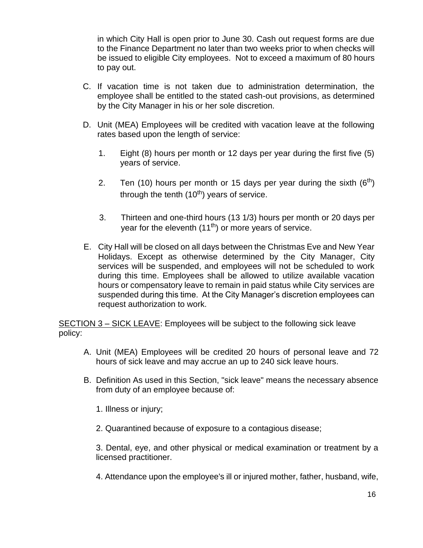in which City Hall is open prior to June 30. Cash out request forms are due to the Finance Department no later than two weeks prior to when checks will be issued to eligible City employees. Not to exceed a maximum of 80 hours to pay out.

- C. If vacation time is not taken due to administration determination, the employee shall be entitled to the stated cash-out provisions, as determined by the City Manager in his or her sole discretion.
- D. Unit (MEA) Employees will be credited with vacation leave at the following rates based upon the length of service:
	- 1. Eight (8) hours per month or 12 days per year during the first five (5) years of service.
	- 2. Ten (10) hours per month or 15 days per year during the sixth  $(6<sup>th</sup>)$ through the tenth  $(10<sup>th</sup>)$  years of service.
	- 3. Thirteen and one-third hours (13 1/3) hours per month or 20 days per year for the eleventh  $(11<sup>th</sup>)$  or more years of service.
- E. City Hall will be closed on all days between the Christmas Eve and New Year Holidays. Except as otherwise determined by the City Manager, City services will be suspended, and employees will not be scheduled to work during this time. Employees shall be allowed to utilize available vacation hours or compensatory leave to remain in paid status while City services are suspended during this time. At the City Manager's discretion employees can request authorization to work.

SECTION 3 – SICK LEAVE: Employees will be subject to the following sick leave policy:

- A. Unit (MEA) Employees will be credited 20 hours of personal leave and 72 hours of sick leave and may accrue an up to 240 sick leave hours.
- B. Definition As used in this Section, "sick leave" means the necessary absence from duty of an employee because of:
	- 1. Illness or injury;
	- 2. Quarantined because of exposure to a contagious disease;

3. Dental, eye, and other physical or medical examination or treatment by a licensed practitioner.

4. Attendance upon the employee's ill or injured mother, father, husband, wife,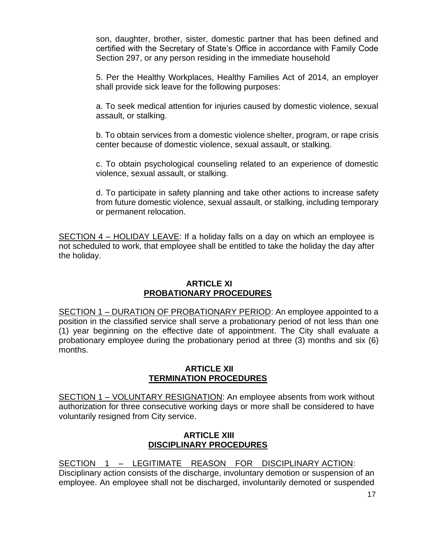son, daughter, brother, sister, domestic partner that has been defined and certified with the Secretary of State's Office in accordance with Family Code Section 297, or any person residing in the immediate household

5. Per the Healthy Workplaces, Healthy Families Act of 2014, an employer shall provide sick leave for the following purposes:

a. To seek medical attention for injuries caused by domestic violence, sexual assault, or stalking.

b. To obtain services from a domestic violence shelter, program, or rape crisis center because of domestic violence, sexual assault, or stalking.

c. To obtain psychological counseling related to an experience of domestic violence, sexual assault, or stalking.

d. To participate in safety planning and take other actions to increase safety from future domestic violence, sexual assault, or stalking, including temporary or permanent relocation.

SECTION 4 – HOLIDAY LEAVE: If a holiday falls on a day on which an employee is not scheduled to work, that employee shall be entitled to take the holiday the day after the holiday.

## **ARTICLE XI PROBATIONARY PROCEDURES**

SECTION 1 – DURATION OF PROBATIONARY PERIOD: An employee appointed to a position in the classified service shall serve a probationary period of not less than one (1) year beginning on the effective date of appointment. The City shall evaluate a probationary employee during the probationary period at three (3) months and six (6) months.

## **ARTICLE XII TERMINATION PROCEDURES**

SECTION 1 – VOLUNTARY RESIGNATION: An employee absents from work without authorization for three consecutive working days or more shall be considered to have voluntarily resigned from City service.

## **ARTICLE XIII DISCIPLINARY PROCEDURES**

SECTION 1 – LEGITIMATE REASON FOR DISCIPLINARY ACTION: Disciplinary action consists of the discharge, involuntary demotion or suspension of an employee. An employee shall not be discharged, involuntarily demoted or suspended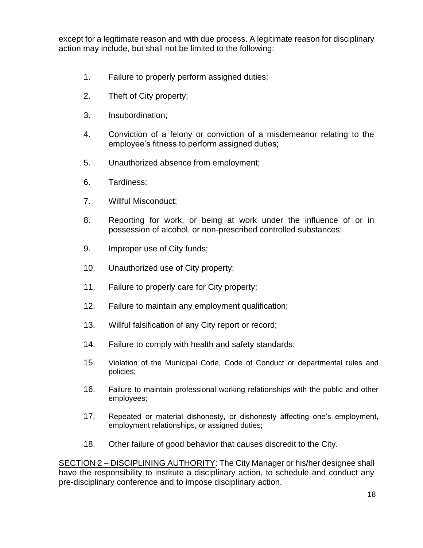except for a legitimate reason and with due process. A legitimate reason for disciplinary action may include, but shall not be limited to the following:

- 1. Failure to properly perform assigned duties;
- 2. Theft of City property;
- 3. Insubordination;
- 4. Conviction of a felony or conviction of a misdemeanor relating to the employee's fitness to perform assigned duties;
- 5. Unauthorized absence from employment;
- 6. Tardiness;
- 7. Willful Misconduct;
- 8. Reporting for work, or being at work under the influence of or in possession of alcohol, or non-prescribed controlled substances;
- 9. Improper use of City funds;
- 10. Unauthorized use of City property;
- 11. Failure to properly care for City property;
- 12. Failure to maintain any employment qualification;
- 13. Willful falsification of any City report or record;
- 14. Failure to comply with health and safety standards;
- 15. Violation of the Municipal Code, Code of Conduct or departmental rules and policies;
- 16. Failure to maintain professional working relationships with the public and other employees;
- 17. Repeated or material dishonesty, or dishonesty affecting one's employment, employment relationships, or assigned duties;
- 18. Other failure of good behavior that causes discredit to the City.

SECTION 2 – DISCIPLINING AUTHORITY: The City Manager or his/her designee shall have the responsibility to institute a disciplinary action, to schedule and conduct any pre-disciplinary conference and to impose disciplinary action.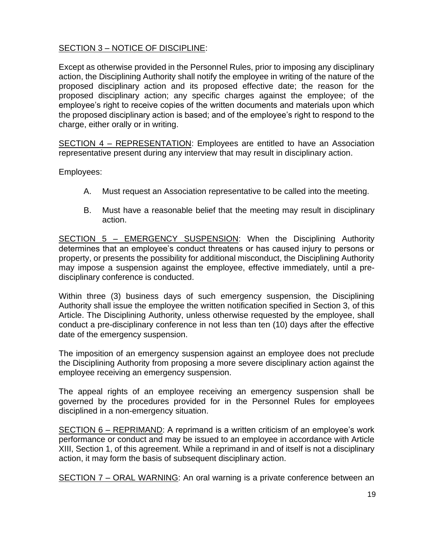# SECTION 3 – NOTICE OF DISCIPLINE:

Except as otherwise provided in the Personnel Rules, prior to imposing any disciplinary action, the Disciplining Authority shall notify the employee in writing of the nature of the proposed disciplinary action and its proposed effective date; the reason for the proposed disciplinary action; any specific charges against the employee; of the employee's right to receive copies of the written documents and materials upon which the proposed disciplinary action is based; and of the employee's right to respond to the charge, either orally or in writing.

SECTION 4 – REPRESENTATION: Employees are entitled to have an Association representative present during any interview that may result in disciplinary action.

Employees:

- A. Must request an Association representative to be called into the meeting.
- B. Must have a reasonable belief that the meeting may result in disciplinary action.

SECTION 5 – EMERGENCY SUSPENSION: When the Disciplining Authority determines that an employee's conduct threatens or has caused injury to persons or property, or presents the possibility for additional misconduct, the Disciplining Authority may impose a suspension against the employee, effective immediately, until a predisciplinary conference is conducted.

Within three (3) business days of such emergency suspension, the Disciplining Authority shall issue the employee the written notification specified in Section 3, of this Article. The Disciplining Authority, unless otherwise requested by the employee, shall conduct a pre-disciplinary conference in not less than ten (10) days after the effective date of the emergency suspension.

The imposition of an emergency suspension against an employee does not preclude the Disciplining Authority from proposing a more severe disciplinary action against the employee receiving an emergency suspension.

The appeal rights of an employee receiving an emergency suspension shall be governed by the procedures provided for in the Personnel Rules for employees disciplined in a non-emergency situation.

SECTION 6 – REPRIMAND: A reprimand is a written criticism of an employee's work performance or conduct and may be issued to an employee in accordance with Article XIII, Section 1, of this agreement. While a reprimand in and of itself is not a disciplinary action, it may form the basis of subsequent disciplinary action.

SECTION 7 – ORAL WARNING: An oral warning is a private conference between an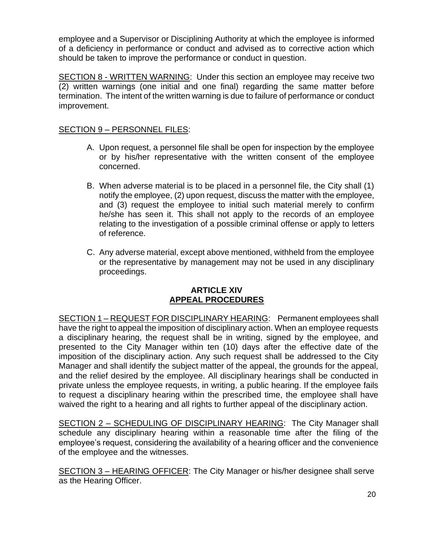employee and a Supervisor or Disciplining Authority at which the employee is informed of a deficiency in performance or conduct and advised as to corrective action which should be taken to improve the performance or conduct in question.

SECTION 8 - WRITTEN WARNING: Under this section an employee may receive two (2) written warnings (one initial and one final) regarding the same matter before termination. The intent of the written warning is due to failure of performance or conduct improvement.

# SECTION 9 – PERSONNEL FILES:

- A. Upon request, a personnel file shall be open for inspection by the employee or by his/her representative with the written consent of the employee concerned.
- B. When adverse material is to be placed in a personnel file, the City shall (1) notify the employee, (2) upon request, discuss the matter with the employee, and (3) request the employee to initial such material merely to confirm he/she has seen it. This shall not apply to the records of an employee relating to the investigation of a possible criminal offense or apply to letters of reference.
- C. Any adverse material, except above mentioned, withheld from the employee or the representative by management may not be used in any disciplinary proceedings.

## **ARTICLE XIV APPEAL PROCEDURES**

SECTION 1 – REQUEST FOR DISCIPLINARY HEARING: Permanent employees shall have the right to appeal the imposition of disciplinary action. When an employee requests a disciplinary hearing, the request shall be in writing, signed by the employee, and presented to the City Manager within ten (10) days after the effective date of the imposition of the disciplinary action. Any such request shall be addressed to the City Manager and shall identify the subject matter of the appeal, the grounds for the appeal, and the relief desired by the employee. All disciplinary hearings shall be conducted in private unless the employee requests, in writing, a public hearing. If the employee fails to request a disciplinary hearing within the prescribed time, the employee shall have waived the right to a hearing and all rights to further appeal of the disciplinary action.

SECTION 2 – SCHEDULING OF DISCIPLINARY HEARING: The City Manager shall schedule any disciplinary hearing within a reasonable time after the filing of the employee's request, considering the availability of a hearing officer and the convenience of the employee and the witnesses.

SECTION 3 – HEARING OFFICER: The City Manager or his/her designee shall serve as the Hearing Officer.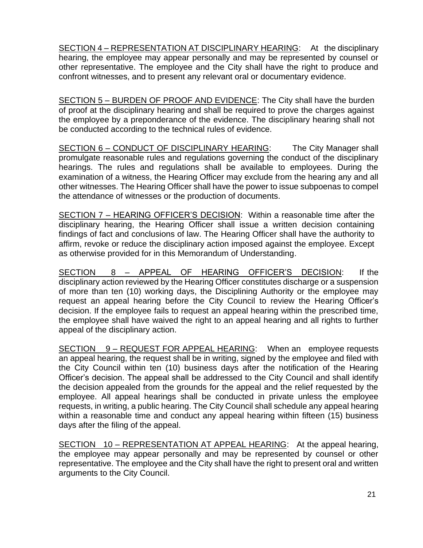SECTION 4 – REPRESENTATION AT DISCIPLINARY HEARING: At the disciplinary hearing, the employee may appear personally and may be represented by counsel or other representative. The employee and the City shall have the right to produce and confront witnesses, and to present any relevant oral or documentary evidence.

SECTION 5 – BURDEN OF PROOF AND EVIDENCE: The City shall have the burden of proof at the disciplinary hearing and shall be required to prove the charges against the employee by a preponderance of the evidence. The disciplinary hearing shall not be conducted according to the technical rules of evidence.

SECTION 6 – CONDUCT OF DISCIPLINARY HEARING: The City Manager shall promulgate reasonable rules and regulations governing the conduct of the disciplinary hearings. The rules and regulations shall be available to employees. During the examination of a witness, the Hearing Officer may exclude from the hearing any and all other witnesses. The Hearing Officer shall have the power to issue subpoenas to compel the attendance of witnesses or the production of documents.

SECTION 7 – HEARING OFFICER'S DECISION: Within a reasonable time after the disciplinary hearing, the Hearing Officer shall issue a written decision containing findings of fact and conclusions of law. The Hearing Officer shall have the authority to affirm, revoke or reduce the disciplinary action imposed against the employee. Except as otherwise provided for in this Memorandum of Understanding.

SECTION 8 – APPEAL OF HEARING OFFICER'S DECISION: If the disciplinary action reviewed by the Hearing Officer constitutes discharge or a suspension of more than ten (10) working days, the Disciplining Authority or the employee may request an appeal hearing before the City Council to review the Hearing Officer's decision. If the employee fails to request an appeal hearing within the prescribed time, the employee shall have waived the right to an appeal hearing and all rights to further appeal of the disciplinary action.

SECTION 9 - REQUEST FOR APPEAL HEARING: When an employee requests an appeal hearing, the request shall be in writing, signed by the employee and filed with the City Council within ten (10) business days after the notification of the Hearing Officer's decision. The appeal shall be addressed to the City Council and shall identify the decision appealed from the grounds for the appeal and the relief requested by the employee. All appeal hearings shall be conducted in private unless the employee requests, in writing, a public hearing. The City Council shall schedule any appeal hearing within a reasonable time and conduct any appeal hearing within fifteen (15) business days after the filing of the appeal.

SECTION 10 – REPRESENTATION AT APPEAL HEARING: At the appeal hearing, the employee may appear personally and may be represented by counsel or other representative. The employee and the City shall have the right to present oral and written arguments to the City Council.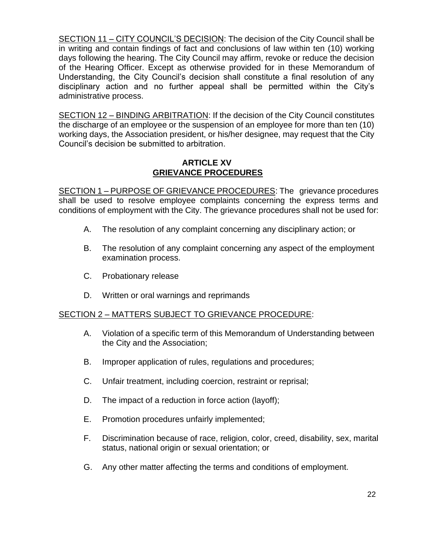SECTION 11 – CITY COUNCIL'S DECISION: The decision of the City Council shall be in writing and contain findings of fact and conclusions of law within ten (10) working days following the hearing. The City Council may affirm, revoke or reduce the decision of the Hearing Officer. Except as otherwise provided for in these Memorandum of Understanding, the City Council's decision shall constitute a final resolution of any disciplinary action and no further appeal shall be permitted within the City's administrative process.

SECTION 12 – BINDING ARBITRATION: If the decision of the City Council constitutes the discharge of an employee or the suspension of an employee for more than ten (10) working days, the Association president, or his/her designee, may request that the City Council's decision be submitted to arbitration.

## **ARTICLE XV GRIEVANCE PROCEDURES**

SECTION 1 – PURPOSE OF GRIEVANCE PROCEDURES: The grievance procedures shall be used to resolve employee complaints concerning the express terms and conditions of employment with the City. The grievance procedures shall not be used for:

- A. The resolution of any complaint concerning any disciplinary action; or
- B. The resolution of any complaint concerning any aspect of the employment examination process.
- C. Probationary release
- D. Written or oral warnings and reprimands

## SECTION 2 – MATTERS SUBJECT TO GRIEVANCE PROCEDURE:

- A. Violation of a specific term of this Memorandum of Understanding between the City and the Association;
- B. Improper application of rules, regulations and procedures;
- C. Unfair treatment, including coercion, restraint or reprisal;
- D. The impact of a reduction in force action (layoff);
- E. Promotion procedures unfairly implemented;
- F. Discrimination because of race, religion, color, creed, disability, sex, marital status, national origin or sexual orientation; or
- G. Any other matter affecting the terms and conditions of employment.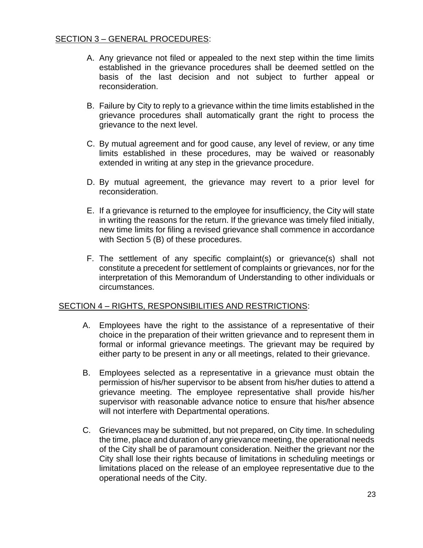- A. Any grievance not filed or appealed to the next step within the time limits established in the grievance procedures shall be deemed settled on the basis of the last decision and not subject to further appeal or reconsideration.
- B. Failure by City to reply to a grievance within the time limits established in the grievance procedures shall automatically grant the right to process the grievance to the next level.
- C. By mutual agreement and for good cause, any level of review, or any time limits established in these procedures, may be waived or reasonably extended in writing at any step in the grievance procedure.
- D. By mutual agreement, the grievance may revert to a prior level for reconsideration.
- E. If a grievance is returned to the employee for insufficiency, the City will state in writing the reasons for the return. If the grievance was timely filed initially, new time limits for filing a revised grievance shall commence in accordance with Section 5 (B) of these procedures.
- F. The settlement of any specific complaint(s) or grievance(s) shall not constitute a precedent for settlement of complaints or grievances, nor for the interpretation of this Memorandum of Understanding to other individuals or circumstances.

## SECTION 4 – RIGHTS, RESPONSIBILITIES AND RESTRICTIONS:

- A. Employees have the right to the assistance of a representative of their choice in the preparation of their written grievance and to represent them in formal or informal grievance meetings. The grievant may be required by either party to be present in any or all meetings, related to their grievance.
- B. Employees selected as a representative in a grievance must obtain the permission of his/her supervisor to be absent from his/her duties to attend a grievance meeting. The employee representative shall provide his/her supervisor with reasonable advance notice to ensure that his/her absence will not interfere with Departmental operations.
- C. Grievances may be submitted, but not prepared, on City time. In scheduling the time, place and duration of any grievance meeting, the operational needs of the City shall be of paramount consideration. Neither the grievant nor the City shall lose their rights because of limitations in scheduling meetings or limitations placed on the release of an employee representative due to the operational needs of the City.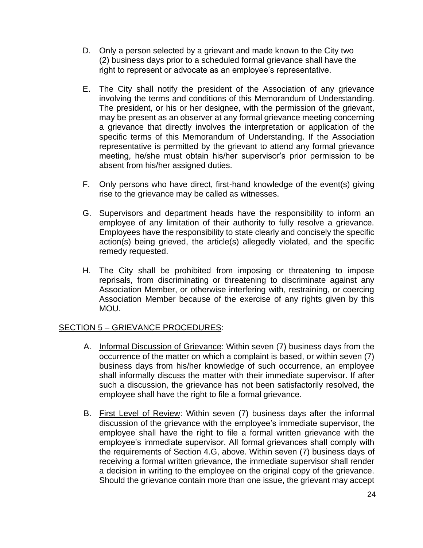- D. Only a person selected by a grievant and made known to the City two (2) business days prior to a scheduled formal grievance shall have the right to represent or advocate as an employee's representative.
- E. The City shall notify the president of the Association of any grievance involving the terms and conditions of this Memorandum of Understanding. The president, or his or her designee, with the permission of the grievant, may be present as an observer at any formal grievance meeting concerning a grievance that directly involves the interpretation or application of the specific terms of this Memorandum of Understanding. If the Association representative is permitted by the grievant to attend any formal grievance meeting, he/she must obtain his/her supervisor's prior permission to be absent from his/her assigned duties.
- F. Only persons who have direct, first-hand knowledge of the event(s) giving rise to the grievance may be called as witnesses.
- G. Supervisors and department heads have the responsibility to inform an employee of any limitation of their authority to fully resolve a grievance. Employees have the responsibility to state clearly and concisely the specific action(s) being grieved, the article(s) allegedly violated, and the specific remedy requested.
- H. The City shall be prohibited from imposing or threatening to impose reprisals, from discriminating or threatening to discriminate against any Association Member, or otherwise interfering with, restraining, or coercing Association Member because of the exercise of any rights given by this MOU.

## SECTION 5 – GRIEVANCE PROCEDURES:

- A. Informal Discussion of Grievance: Within seven (7) business days from the occurrence of the matter on which a complaint is based, or within seven (7) business days from his/her knowledge of such occurrence, an employee shall informally discuss the matter with their immediate supervisor. If after such a discussion, the grievance has not been satisfactorily resolved, the employee shall have the right to file a formal grievance.
- B. First Level of Review: Within seven (7) business days after the informal discussion of the grievance with the employee's immediate supervisor, the employee shall have the right to file a formal written grievance with the employee's immediate supervisor. All formal grievances shall comply with the requirements of Section 4.G, above. Within seven (7) business days of receiving a formal written grievance, the immediate supervisor shall render a decision in writing to the employee on the original copy of the grievance. Should the grievance contain more than one issue, the grievant may accept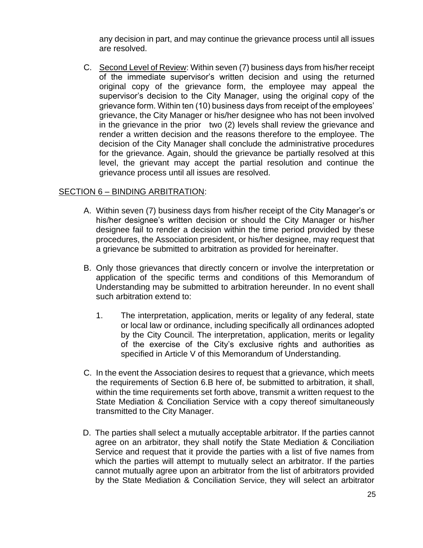any decision in part, and may continue the grievance process until all issues are resolved.

C. Second Level of Review: Within seven (7) business days from his/her receipt of the immediate supervisor's written decision and using the returned original copy of the grievance form, the employee may appeal the supervisor's decision to the City Manager, using the original copy of the grievance form. Within ten (10) business days from receipt of the employees' grievance, the City Manager or his/her designee who has not been involved in the grievance in the prior two (2) levels shall review the grievance and render a written decision and the reasons therefore to the employee. The decision of the City Manager shall conclude the administrative procedures for the grievance. Again, should the grievance be partially resolved at this level, the grievant may accept the partial resolution and continue the grievance process until all issues are resolved.

## SECTION 6 – BINDING ARBITRATION:

- A. Within seven (7) business days from his/her receipt of the City Manager's or his/her designee's written decision or should the City Manager or his/her designee fail to render a decision within the time period provided by these procedures, the Association president, or his/her designee, may request that a grievance be submitted to arbitration as provided for hereinafter.
- B. Only those grievances that directly concern or involve the interpretation or application of the specific terms and conditions of this Memorandum of Understanding may be submitted to arbitration hereunder. In no event shall such arbitration extend to:
	- 1. The interpretation, application, merits or legality of any federal, state or local law or ordinance, including specifically all ordinances adopted by the City Council. The interpretation, application, merits or legality of the exercise of the City's exclusive rights and authorities as specified in Article V of this Memorandum of Understanding.
- C. In the event the Association desires to request that a grievance, which meets the requirements of Section 6.B here of, be submitted to arbitration, it shall, within the time requirements set forth above, transmit a written request to the State Mediation & Conciliation Service with a copy thereof simultaneously transmitted to the City Manager.
- D. The parties shall select a mutually acceptable arbitrator. If the parties cannot agree on an arbitrator, they shall notify the State Mediation & Conciliation Service and request that it provide the parties with a list of five names from which the parties will attempt to mutually select an arbitrator. If the parties cannot mutually agree upon an arbitrator from the list of arbitrators provided by the State Mediation & Conciliation Service, they will select an arbitrator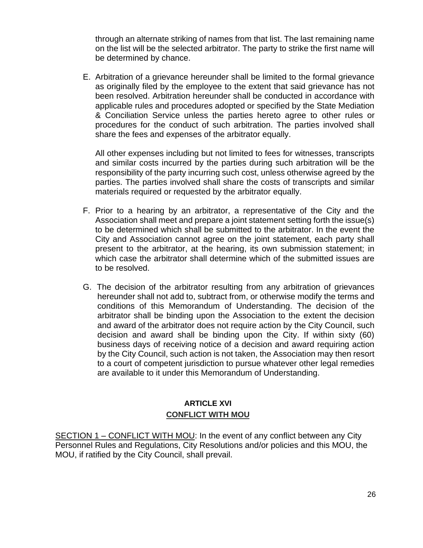through an alternate striking of names from that list. The last remaining name on the list will be the selected arbitrator. The party to strike the first name will be determined by chance.

E. Arbitration of a grievance hereunder shall be limited to the formal grievance as originally filed by the employee to the extent that said grievance has not been resolved. Arbitration hereunder shall be conducted in accordance with applicable rules and procedures adopted or specified by the State Mediation & Conciliation Service unless the parties hereto agree to other rules or procedures for the conduct of such arbitration. The parties involved shall share the fees and expenses of the arbitrator equally.

All other expenses including but not limited to fees for witnesses, transcripts and similar costs incurred by the parties during such arbitration will be the responsibility of the party incurring such cost, unless otherwise agreed by the parties. The parties involved shall share the costs of transcripts and similar materials required or requested by the arbitrator equally.

- F. Prior to a hearing by an arbitrator, a representative of the City and the Association shall meet and prepare a joint statement setting forth the issue(s) to be determined which shall be submitted to the arbitrator. In the event the City and Association cannot agree on the joint statement, each party shall present to the arbitrator, at the hearing, its own submission statement; in which case the arbitrator shall determine which of the submitted issues are to be resolved.
- G. The decision of the arbitrator resulting from any arbitration of grievances hereunder shall not add to, subtract from, or otherwise modify the terms and conditions of this Memorandum of Understanding. The decision of the arbitrator shall be binding upon the Association to the extent the decision and award of the arbitrator does not require action by the City Council, such decision and award shall be binding upon the City. If within sixty (60) business days of receiving notice of a decision and award requiring action by the City Council, such action is not taken, the Association may then resort to a court of competent jurisdiction to pursue whatever other legal remedies are available to it under this Memorandum of Understanding.

# **ARTICLE XVI CONFLICT WITH MOU**

SECTION 1 – CONFLICT WITH MOU: In the event of any conflict between any City Personnel Rules and Regulations, City Resolutions and/or policies and this MOU, the MOU, if ratified by the City Council, shall prevail.